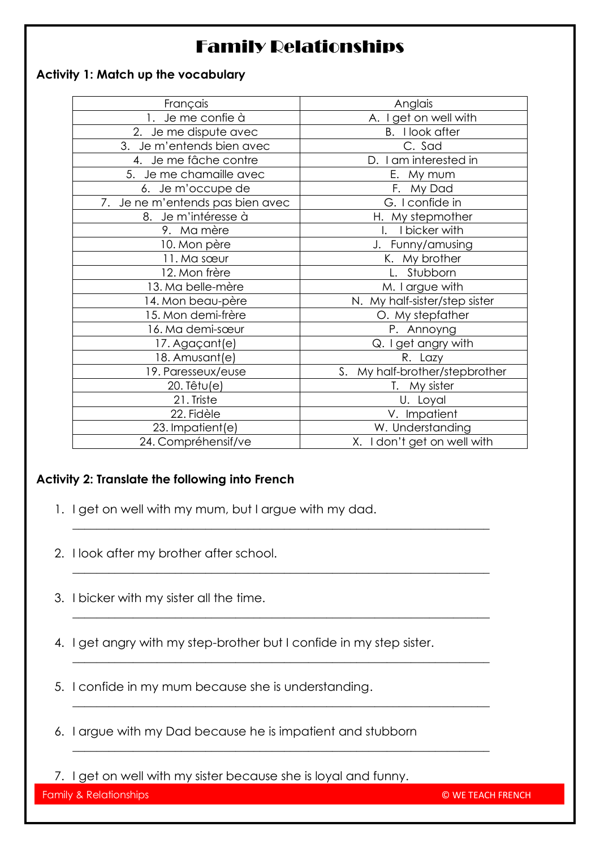# Family Relationships

#### **Activity 1: Match up the vocabulary**

| Français                         | Anglais                           |  |
|----------------------------------|-----------------------------------|--|
| 1. Je me confie à                | A. I get on well with             |  |
| 2. Je me dispute avec            | <b>B.</b> I look after            |  |
| 3. Je m'entends bien avec        | C. Sad                            |  |
| 4. Je me fâche contre            | D. I am interested in             |  |
| 5. Je me chamaille avec          | E. My mum                         |  |
| 6. Je m'occupe de                | F. My Dad                         |  |
| 7. Je ne m'entends pas bien avec | G. I confide in                   |  |
| 8. Je m'intéresse à              | H. My stepmother                  |  |
| 9. Ma mère                       | I bicker with                     |  |
| 10. Mon père                     | J. Funny/amusing                  |  |
| 11. Ma sœur                      | K. My brother                     |  |
| 12. Mon frère                    | L. Stubborn                       |  |
| 13. Ma belle-mère                | M. I argue with                   |  |
| 14. Mon beau-père                | N. My half-sister/step sister     |  |
| 15. Mon demi-frère               | O. My stepfather                  |  |
| 16. Ma demi-sœur                 | P. Annoyng                        |  |
| 17. Agaçant(e)                   | Q. I get angry with               |  |
| 18. Amusant(e)                   | R. Lazy                           |  |
| 19. Paresseux/euse               | My half-brother/stepbrother<br>S. |  |
| 20. Têtu(e)                      | T. My sister                      |  |
| 21. Triste                       | U. Loyal                          |  |
| 22. Fidèle                       | V. Impatient                      |  |
| 23. Impatient(e)                 | W. Understanding                  |  |
| 24. Compréhensif/ve              | X. I don't get on well with       |  |
|                                  |                                   |  |

#### **Activity 2: Translate the following into French**

- 1. I get on well with my mum, but I argue with my dad.
- 2. I look after my brother after school.
- 3. I bicker with my sister all the time.
- 4. I get angry with my step-brother but I confide in my step sister.

 $\_$  , and the set of the set of the set of the set of the set of the set of the set of the set of the set of the set of the set of the set of the set of the set of the set of the set of the set of the set of the set of th

 $\_$  , and the set of the set of the set of the set of the set of the set of the set of the set of the set of the set of the set of the set of the set of the set of the set of the set of the set of the set of the set of th

 $\_$  , and the set of the set of the set of the set of the set of the set of the set of the set of the set of the set of the set of the set of the set of the set of the set of the set of the set of the set of the set of th

 $\_$  , and the set of the set of the set of the set of the set of the set of the set of the set of the set of the set of the set of the set of the set of the set of the set of the set of the set of the set of the set of th

 $\_$  , and the set of the set of the set of the set of the set of the set of the set of the set of the set of the set of the set of the set of the set of the set of the set of the set of the set of the set of the set of th

 $\_$  , and the set of the set of the set of the set of the set of the set of the set of the set of the set of the set of the set of the set of the set of the set of the set of the set of the set of the set of the set of th

- 5. I confide in my mum because she is understanding.
- 6. I argue with my Dad because he is impatient and stubborn
- 7. I get on well with my sister because she is loyal and funny.

Family & Relationships 1 © WE TEACH FRENCH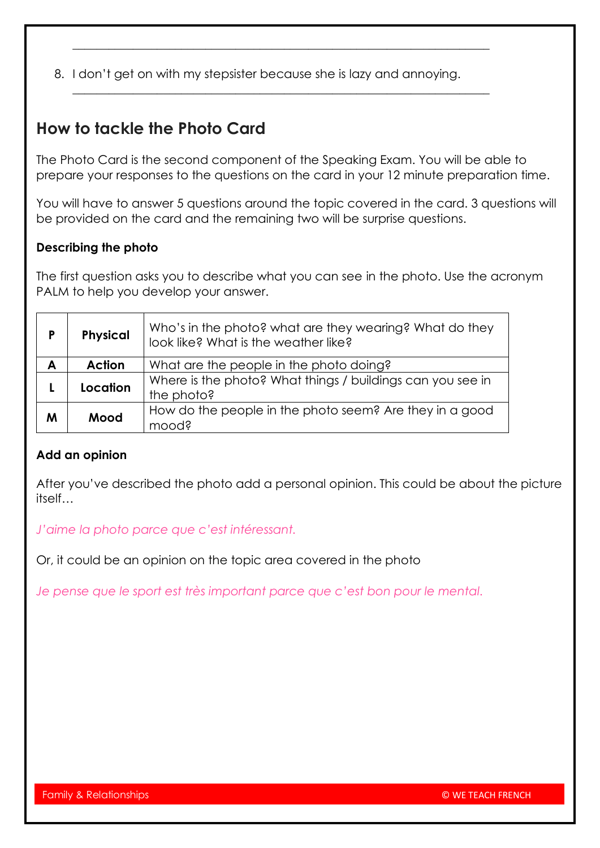8. I don't get on with my stepsister because she is lazy and annoying.

 $\_$  , and the set of the set of the set of the set of the set of the set of the set of the set of the set of the set of the set of the set of the set of the set of the set of the set of the set of the set of the set of th

 $\_$  , and the set of the set of the set of the set of the set of the set of the set of the set of the set of the set of the set of the set of the set of the set of the set of the set of the set of the set of the set of th

## **How to tackle the Photo Card**

The Photo Card is the second component of the Speaking Exam. You will be able to prepare your responses to the questions on the card in your 12 minute preparation time.

You will have to answer 5 questions around the topic covered in the card. 3 questions will be provided on the card and the remaining two will be surprise questions.

#### **Describing the photo**

The first question asks you to describe what you can see in the photo. Use the acronym PALM to help you develop your answer.

| P | <b>Physical</b> | Who's in the photo? what are they wearing? What do they<br>look like? What is the weather like? |  |
|---|-----------------|-------------------------------------------------------------------------------------------------|--|
| A | <b>Action</b>   | What are the people in the photo doing?                                                         |  |
|   | Location        | Where is the photo? What things / buildings can you see in                                      |  |
|   |                 | the photo?                                                                                      |  |
| M | Mood            | How do the people in the photo seem? Are they in a good                                         |  |
|   |                 | mood?                                                                                           |  |

#### **Add an opinion**

After you've described the photo add a personal opinion. This could be about the picture itself…

*J'aime la photo parce que c'est intéressant.*

Or, it could be an opinion on the topic area covered in the photo

*Je pense que le sport est très important parce que c'est bon pour le mental.*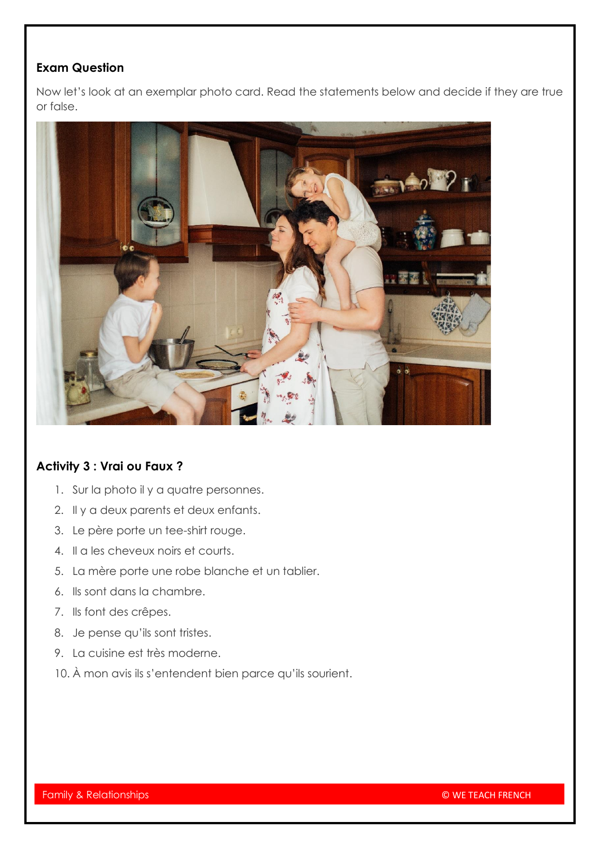### **Exam Question**

Now let's look at an exemplar photo card. Read the statements below and decide if they are true or false.



#### **Activity 3 : Vrai ou Faux ?**

- 1. Sur la photo il y a quatre personnes.
- 2. Il y a deux parents et deux enfants.
- 3. Le père porte un tee-shirt rouge.
- 4. Il a les cheveux noirs et courts.
- 5. La mère porte une robe blanche et un tablier.
- 6. Ils sont dans la chambre.
- 7. Ils font des crêpes.
- 8. Je pense qu'ils sont tristes.
- 9. La cuisine est très moderne.
- 10. À mon avis ils s'entendent bien parce qu'ils sourient.